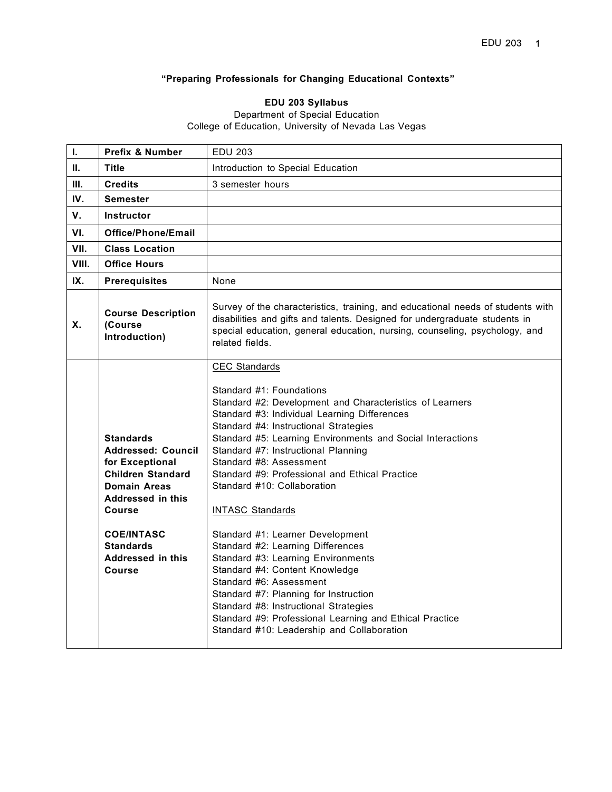# **"Preparing Professionals for Changing Educational Contexts"**

#### **EDU 203 Syllabus**

#### Department of Special Education College of Education, University of Nevada Las Vegas

| L.    | <b>Prefix &amp; Number</b>                                                                                                                                                                                                               | <b>EDU 203</b>                                                                                                                                                                                                                                                                                                                                                                                                                                                                                                                                                                                                                                                                                                                                                                                                    |
|-------|------------------------------------------------------------------------------------------------------------------------------------------------------------------------------------------------------------------------------------------|-------------------------------------------------------------------------------------------------------------------------------------------------------------------------------------------------------------------------------------------------------------------------------------------------------------------------------------------------------------------------------------------------------------------------------------------------------------------------------------------------------------------------------------------------------------------------------------------------------------------------------------------------------------------------------------------------------------------------------------------------------------------------------------------------------------------|
| Ш.    | <b>Title</b>                                                                                                                                                                                                                             | Introduction to Special Education                                                                                                                                                                                                                                                                                                                                                                                                                                                                                                                                                                                                                                                                                                                                                                                 |
| Ш.    | <b>Credits</b>                                                                                                                                                                                                                           | 3 semester hours                                                                                                                                                                                                                                                                                                                                                                                                                                                                                                                                                                                                                                                                                                                                                                                                  |
| IV.   | <b>Semester</b>                                                                                                                                                                                                                          |                                                                                                                                                                                                                                                                                                                                                                                                                                                                                                                                                                                                                                                                                                                                                                                                                   |
| V.    | Instructor                                                                                                                                                                                                                               |                                                                                                                                                                                                                                                                                                                                                                                                                                                                                                                                                                                                                                                                                                                                                                                                                   |
| VI.   | Office/Phone/Email                                                                                                                                                                                                                       |                                                                                                                                                                                                                                                                                                                                                                                                                                                                                                                                                                                                                                                                                                                                                                                                                   |
| VII.  | <b>Class Location</b>                                                                                                                                                                                                                    |                                                                                                                                                                                                                                                                                                                                                                                                                                                                                                                                                                                                                                                                                                                                                                                                                   |
| VIII. | <b>Office Hours</b>                                                                                                                                                                                                                      |                                                                                                                                                                                                                                                                                                                                                                                                                                                                                                                                                                                                                                                                                                                                                                                                                   |
| IX.   | <b>Prerequisites</b>                                                                                                                                                                                                                     | None                                                                                                                                                                                                                                                                                                                                                                                                                                                                                                                                                                                                                                                                                                                                                                                                              |
| Χ.    | <b>Course Description</b><br>(Course<br>Introduction)                                                                                                                                                                                    | Survey of the characteristics, training, and educational needs of students with<br>disabilities and gifts and talents. Designed for undergraduate students in<br>special education, general education, nursing, counseling, psychology, and<br>related fields.                                                                                                                                                                                                                                                                                                                                                                                                                                                                                                                                                    |
|       | <b>Standards</b><br><b>Addressed: Council</b><br>for Exceptional<br><b>Children Standard</b><br><b>Domain Areas</b><br>Addressed in this<br><b>Course</b><br><b>COE/INTASC</b><br><b>Standards</b><br>Addressed in this<br><b>Course</b> | CEC Standards<br>Standard #1: Foundations<br>Standard #2: Development and Characteristics of Learners<br>Standard #3: Individual Learning Differences<br>Standard #4: Instructional Strategies<br>Standard #5: Learning Environments and Social Interactions<br>Standard #7: Instructional Planning<br>Standard #8: Assessment<br>Standard #9: Professional and Ethical Practice<br>Standard #10: Collaboration<br><b>INTASC Standards</b><br>Standard #1: Learner Development<br>Standard #2: Learning Differences<br>Standard #3: Learning Environments<br>Standard #4: Content Knowledge<br>Standard #6: Assessment<br>Standard #7: Planning for Instruction<br>Standard #8: Instructional Strategies<br>Standard #9: Professional Learning and Ethical Practice<br>Standard #10: Leadership and Collaboration |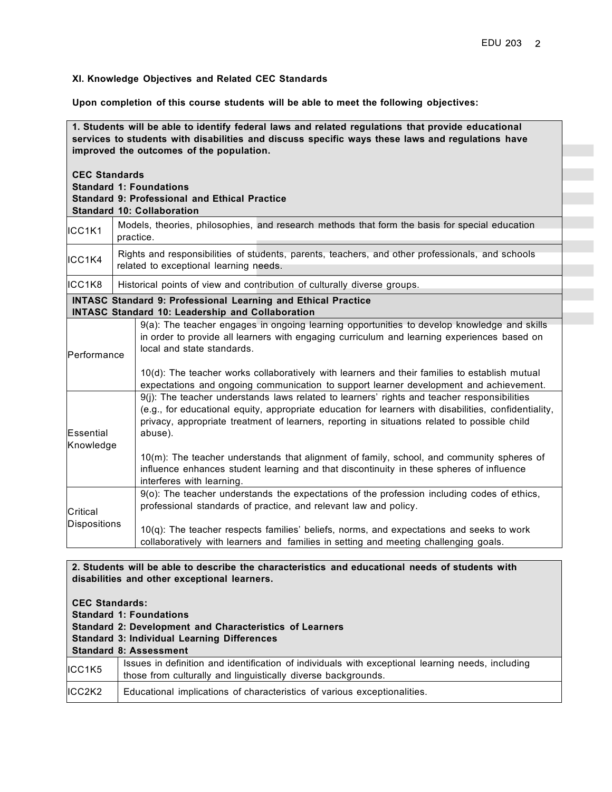## **XI. Knowledge Objectives and Related CEC Standards**

**Upon completion of this course students will be able to meet the following objectives:**

| 1. Students will be able to identify federal laws and related regulations that provide educational<br>services to students with disabilities and discuss specific ways these laws and regulations have<br>improved the outcomes of the population. |                                                                                                                                                                                                                                                                                                                                                                                                                                                                                                                                        |
|----------------------------------------------------------------------------------------------------------------------------------------------------------------------------------------------------------------------------------------------------|----------------------------------------------------------------------------------------------------------------------------------------------------------------------------------------------------------------------------------------------------------------------------------------------------------------------------------------------------------------------------------------------------------------------------------------------------------------------------------------------------------------------------------------|
| <b>CEC Standards</b><br><b>Standard 1: Foundations</b>                                                                                                                                                                                             | <b>Standard 9: Professional and Ethical Practice</b><br><b>Standard 10: Collaboration</b>                                                                                                                                                                                                                                                                                                                                                                                                                                              |
| ICC1K1                                                                                                                                                                                                                                             | Models, theories, philosophies, and research methods that form the basis for special education<br>practice.                                                                                                                                                                                                                                                                                                                                                                                                                            |
| ICC1K4                                                                                                                                                                                                                                             | Rights and responsibilities of students, parents, teachers, and other professionals, and schools<br>related to exceptional learning needs.                                                                                                                                                                                                                                                                                                                                                                                             |
| ICC1K8                                                                                                                                                                                                                                             | Historical points of view and contribution of culturally diverse groups.                                                                                                                                                                                                                                                                                                                                                                                                                                                               |
|                                                                                                                                                                                                                                                    | <b>INTASC Standard 9: Professional Learning and Ethical Practice</b><br><b>INTASC Standard 10: Leadership and Collaboration</b>                                                                                                                                                                                                                                                                                                                                                                                                        |
| Performance                                                                                                                                                                                                                                        | 9(a): The teacher engages in ongoing learning opportunities to develop knowledge and skills<br>in order to provide all learners with engaging curriculum and learning experiences based on<br>local and state standards.<br>10(d): The teacher works collaboratively with learners and their families to establish mutual<br>expectations and ongoing communication to support learner development and achievement.                                                                                                                    |
| <b>Essential</b><br>Knowledge                                                                                                                                                                                                                      | 9(j): The teacher understands laws related to learners' rights and teacher responsibilities<br>(e.g., for educational equity, appropriate education for learners with disabilities, confidentiality,<br>privacy, appropriate treatment of learners, reporting in situations related to possible child<br>abuse).<br>10(m): The teacher understands that alignment of family, school, and community spheres of<br>influence enhances student learning and that discontinuity in these spheres of influence<br>interferes with learning. |
| Critical<br><b>Dispositions</b>                                                                                                                                                                                                                    | 9(o): The teacher understands the expectations of the profession including codes of ethics,<br>professional standards of practice, and relevant law and policy.<br>$10(q)$ : The teacher respects families' beliefs, norms, and expectations and seeks to work<br>collaboratively with learners and families in setting and meeting challenging goals.                                                                                                                                                                                 |

#### **2. Students will be able to describe the characteristics and educational needs of students with disabilities and other exceptional learners.**

| <b>CEC Standards:</b><br><b>Standard 1: Foundations</b><br><b>Standard 2: Development and Characteristics of Learners</b> |                                                                                                                                                                    |  |
|---------------------------------------------------------------------------------------------------------------------------|--------------------------------------------------------------------------------------------------------------------------------------------------------------------|--|
|                                                                                                                           | <b>Standard 3: Individual Learning Differences</b>                                                                                                                 |  |
|                                                                                                                           | <b>Standard 8: Assessment</b>                                                                                                                                      |  |
| ICC1K5                                                                                                                    | Issues in definition and identification of individuals with exceptional learning needs, including<br>those from culturally and linguistically diverse backgrounds. |  |
| ICC2K2                                                                                                                    | Educational implications of characteristics of various exceptionalities.                                                                                           |  |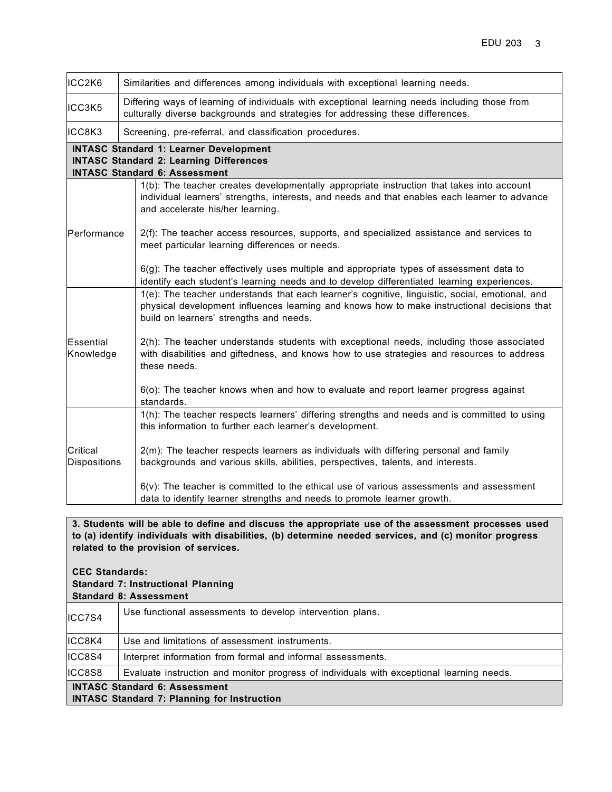| ICC2K6                          | Similarities and differences among individuals with exceptional learning needs.                                                                                                                                                           |
|---------------------------------|-------------------------------------------------------------------------------------------------------------------------------------------------------------------------------------------------------------------------------------------|
| ICC3K5                          | Differing ways of learning of individuals with exceptional learning needs including those from<br>culturally diverse backgrounds and strategies for addressing these differences.                                                         |
| ICC8K3                          | Screening, pre-referral, and classification procedures.                                                                                                                                                                                   |
|                                 | <b>INTASC Standard 1: Learner Development</b><br><b>INTASC Standard 2: Learning Differences</b><br><b>INTASC Standard 6: Assessment</b>                                                                                                   |
|                                 | 1(b): The teacher creates developmentally appropriate instruction that takes into account<br>individual learners' strengths, interests, and needs and that enables each learner to advance<br>and accelerate his/her learning.            |
| Performance                     | 2(f): The teacher access resources, supports, and specialized assistance and services to<br>meet particular learning differences or needs.                                                                                                |
|                                 | 6(g): The teacher effectively uses multiple and appropriate types of assessment data to<br>identify each student's learning needs and to develop differentiated learning experiences.                                                     |
|                                 | 1(e): The teacher understands that each learner's cognitive, linguistic, social, emotional, and<br>physical development influences learning and knows how to make instructional decisions that<br>build on learners' strengths and needs. |
| Essential<br>Knowledge          | 2(h): The teacher understands students with exceptional needs, including those associated<br>with disabilities and giftedness, and knows how to use strategies and resources to address<br>these needs.                                   |
|                                 | 6(o): The teacher knows when and how to evaluate and report learner progress against<br>standards.                                                                                                                                        |
|                                 | 1(h): The teacher respects learners' differing strengths and needs and is committed to using<br>this information to further each learner's development.                                                                                   |
| Critical<br><b>Dispositions</b> | 2(m): The teacher respects learners as individuals with differing personal and family<br>backgrounds and various skills, abilities, perspectives, talents, and interests.                                                                 |
|                                 | $6(v)$ : The teacher is committed to the ethical use of various assessments and assessment<br>data to identify learner strengths and needs to promote learner growth.                                                                     |

**3. Students will be able to define and discuss the appropriate use of the assessment processes used to (a) identify individuals with disabilities, (b) determine needed services, and (c) monitor progress related to the provision of services.**

**CEC Standards:**

## **Standard 7: Instructional Planning**

|  |  | <b>Standard 8: Assessment</b> |  |
|--|--|-------------------------------|--|
|--|--|-------------------------------|--|

| ICC7S4 | Use functional assessments to develop intervention plans.                                 |  |
|--------|-------------------------------------------------------------------------------------------|--|
| ICC8K4 | Use and limitations of assessment instruments.                                            |  |
| ICC8S4 | Interpret information from formal and informal assessments.                               |  |
| ICC8S8 | Evaluate instruction and monitor progress of individuals with exceptional learning needs. |  |
|        | <b>INTASC Standard 6: Assessment</b>                                                      |  |
|        | <b>INTASC Standard 7: Planning for Instruction</b>                                        |  |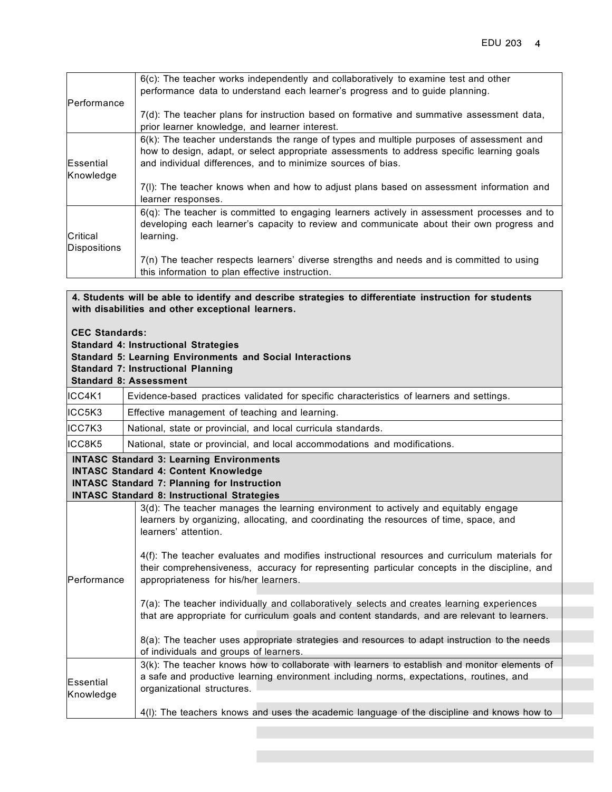| Performance                            | $6(c)$ : The teacher works independently and collaboratively to examine test and other<br>performance data to understand each learner's progress and to guide planning.                                                                                   |
|----------------------------------------|-----------------------------------------------------------------------------------------------------------------------------------------------------------------------------------------------------------------------------------------------------------|
|                                        | 7(d): The teacher plans for instruction based on formative and summative assessment data,<br>prior learner knowledge, and learner interest.                                                                                                               |
| <b>Essential</b><br>Knowledge          | $6(k)$ : The teacher understands the range of types and multiple purposes of assessment and<br>how to design, adapt, or select appropriate assessments to address specific learning goals<br>and individual differences, and to minimize sources of bias. |
|                                        | 7(I): The teacher knows when and how to adjust plans based on assessment information and<br>learner responses.                                                                                                                                            |
| <b>Critical</b><br><b>Dispositions</b> | $6(q)$ : The teacher is committed to engaging learners actively in assessment processes and to<br>developing each learner's capacity to review and communicate about their own progress and<br>learning.                                                  |
|                                        | 7(n) The teacher respects learners' diverse strengths and needs and is committed to using<br>this information to plan effective instruction.                                                                                                              |

**4. Students will be able to identify and describe strategies to differentiate instruction for students with disabilities and other exceptional learners.**

- **Standard 4: Instructional Strategies**
- **Standard 5: Learning Environments and Social Interactions**
- **Standard 7: Instructional Planning**

|  | <b>Standard 8: Assessment</b> |
|--|-------------------------------|
|--|-------------------------------|

| ICC4K1                        | Evidence-based practices validated for specific characteristics of learners and settings.                                                                                                                                                                                                                                                                                                                                                        |
|-------------------------------|--------------------------------------------------------------------------------------------------------------------------------------------------------------------------------------------------------------------------------------------------------------------------------------------------------------------------------------------------------------------------------------------------------------------------------------------------|
| ICC5K3                        | Effective management of teaching and learning.                                                                                                                                                                                                                                                                                                                                                                                                   |
| ICC7K3                        | National, state or provincial, and local curricula standards.                                                                                                                                                                                                                                                                                                                                                                                    |
| ICC8K5                        | National, state or provincial, and local accommodations and modifications.                                                                                                                                                                                                                                                                                                                                                                       |
|                               | <b>INTASC Standard 3: Learning Environments</b><br><b>INTASC Standard 4: Content Knowledge</b><br><b>INTASC Standard 7: Planning for Instruction</b><br><b>INTASC Standard 8: Instructional Strategies</b>                                                                                                                                                                                                                                       |
| Performance                   | 3(d): The teacher manages the learning environment to actively and equitably engage<br>learners by organizing, allocating, and coordinating the resources of time, space, and<br>learners' attention.<br>4(f): The teacher evaluates and modifies instructional resources and curriculum materials for<br>their comprehensiveness, accuracy for representing particular concepts in the discipline, and<br>appropriateness for his/her learners. |
|                               | 7(a): The teacher individually and collaboratively selects and creates learning experiences<br>that are appropriate for curriculum goals and content standards, and are relevant to learners.<br>8(a): The teacher uses appropriate strategies and resources to adapt instruction to the needs<br>of individuals and groups of learners.                                                                                                         |
| <b>Essential</b><br>Knowledge | 3(k): The teacher knows how to collaborate with learners to establish and monitor elements of<br>a safe and productive learning environment including norms, expectations, routines, and<br>organizational structures.                                                                                                                                                                                                                           |
|                               | 4(I): The teachers knows and uses the academic language of the discipline and knows how to                                                                                                                                                                                                                                                                                                                                                       |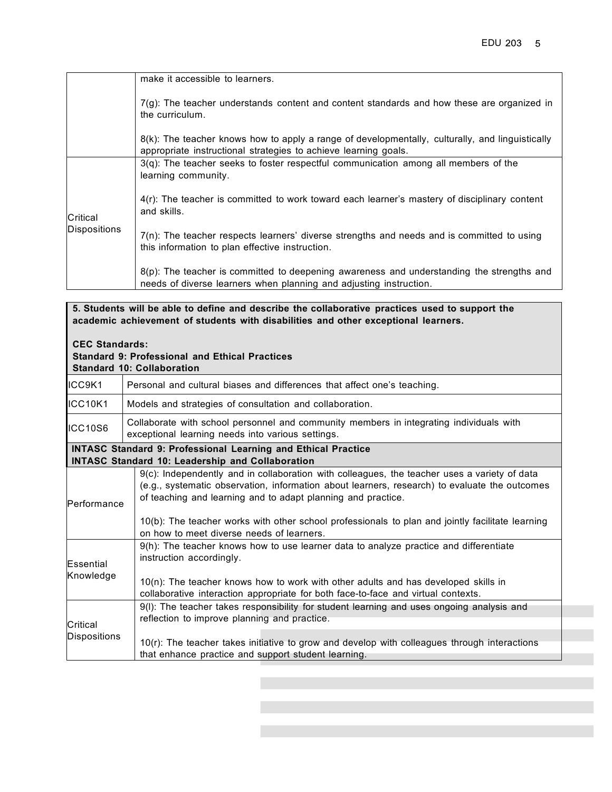|              | make it accessible to learners.                                                                                                                                    |
|--------------|--------------------------------------------------------------------------------------------------------------------------------------------------------------------|
|              | $7(g)$ : The teacher understands content and content standards and how these are organized in<br>the curriculum.                                                   |
|              | 8(k): The teacher knows how to apply a range of developmentally, culturally, and linguistically<br>appropriate instructional strategies to achieve learning goals. |
|              | 3(q): The teacher seeks to foster respectful communication among all members of the<br>learning community.                                                         |
| Critical     | 4(r): The teacher is committed to work toward each learner's mastery of disciplinary content<br>and skills.                                                        |
| Dispositions | $7(n)$ : The teacher respects learners' diverse strengths and needs and is committed to using<br>this information to plan effective instruction.                   |
|              | 8(p): The teacher is committed to deepening awareness and understanding the strengths and<br>needs of diverse learners when planning and adjusting instruction.    |

**5. Students will be able to define and describe the collaborative practices used to support the academic achievement of students with disabilities and other exceptional learners.**

### **CEC Standards: Standard 9: Professional and Ethical Practices**

|                                 | <b>Standard 10: Collaboration</b>                                                                                                                                                                                                                                                                                                                                                                              |  |  |
|---------------------------------|----------------------------------------------------------------------------------------------------------------------------------------------------------------------------------------------------------------------------------------------------------------------------------------------------------------------------------------------------------------------------------------------------------------|--|--|
| ICC9K1                          | Personal and cultural biases and differences that affect one's teaching.                                                                                                                                                                                                                                                                                                                                       |  |  |
| ICC10K1                         | Models and strategies of consultation and collaboration.                                                                                                                                                                                                                                                                                                                                                       |  |  |
| ICC10S6                         | Collaborate with school personnel and community members in integrating individuals with<br>exceptional learning needs into various settings.                                                                                                                                                                                                                                                                   |  |  |
|                                 | <b>INTASC Standard 9: Professional Learning and Ethical Practice</b><br><b>INTASC Standard 10: Leadership and Collaboration</b>                                                                                                                                                                                                                                                                                |  |  |
| Performance                     | 9(c): Independently and in collaboration with colleagues, the teacher uses a variety of data<br>(e.g., systematic observation, information about learners, research) to evaluate the outcomes<br>of teaching and learning and to adapt planning and practice.<br>10(b): The teacher works with other school professionals to plan and jointly facilitate learning<br>on how to meet diverse needs of learners. |  |  |
| Essential<br>Knowledge          | 9(h): The teacher knows how to use learner data to analyze practice and differentiate<br>instruction accordingly.<br>$10(n)$ : The teacher knows how to work with other adults and has developed skills in<br>collaborative interaction appropriate for both face-to-face and virtual contexts.                                                                                                                |  |  |
| Critical<br><b>Dispositions</b> | 9(I): The teacher takes responsibility for student learning and uses ongoing analysis and<br>reflection to improve planning and practice.<br>10(r): The teacher takes initiative to grow and develop with colleagues through interactions<br>that enhance practice and support student learning.                                                                                                               |  |  |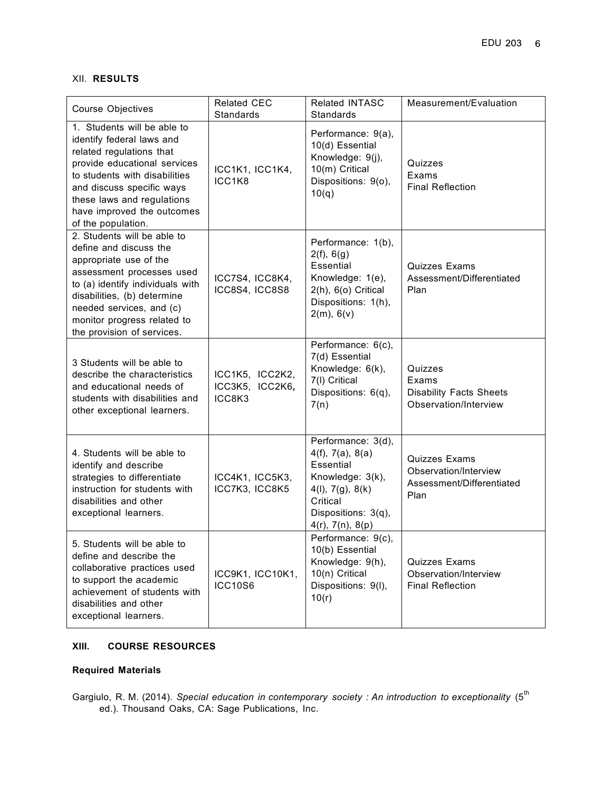### XII. **RESULTS**

| <b>Course Objectives</b>                                                                                                                                                                                                                                                 | <b>Related CEC</b><br><b>Standards</b>       | Related INTASC<br><b>Standards</b>                                                                                                                         | Measurement/Evaluation                                                             |
|--------------------------------------------------------------------------------------------------------------------------------------------------------------------------------------------------------------------------------------------------------------------------|----------------------------------------------|------------------------------------------------------------------------------------------------------------------------------------------------------------|------------------------------------------------------------------------------------|
| 1. Students will be able to<br>identify federal laws and<br>related regulations that<br>provide educational services<br>to students with disabilities<br>and discuss specific ways<br>these laws and regulations<br>have improved the outcomes<br>of the population.     | ICC1K1, ICC1K4,<br>ICC1K8                    | Performance: 9(a),<br>10(d) Essential<br>Knowledge: 9(j),<br>10(m) Critical<br>Dispositions: 9(o),<br>10(q)                                                | Quizzes<br>Exams<br><b>Final Reflection</b>                                        |
| 2. Students will be able to<br>define and discuss the<br>appropriate use of the<br>assessment processes used<br>to (a) identify individuals with<br>disabilities, (b) determine<br>needed services, and (c)<br>monitor progress related to<br>the provision of services. | ICC7S4, ICC8K4,<br>ICC8S4, ICC8S8            | Performance: 1(b),<br>2(f), 6(g)<br><b>Essential</b><br>Knowledge: 1(e),<br>2(h), 6(o) Critical<br>Dispositions: 1(h),<br>2(m), 6(v)                       | <b>Quizzes Exams</b><br>Assessment/Differentiated<br>Plan                          |
| 3 Students will be able to<br>describe the characteristics<br>and educational needs of<br>students with disabilities and<br>other exceptional learners.                                                                                                                  | ICC1K5, ICC2K2,<br>ICC3K5, ICC2K6,<br>ICC8K3 | Performance: 6(c),<br>7(d) Essential<br>Knowledge: 6(k),<br>7(I) Critical<br>Dispositions: 6(q),<br>7(n)                                                   | Quizzes<br>Exams<br><b>Disability Facts Sheets</b><br>Observation/Interview        |
| 4. Students will be able to<br>identify and describe<br>strategies to differentiate<br>instruction for students with<br>disabilities and other<br>exceptional learners.                                                                                                  | ICC4K1, ICC5K3,<br>ICC7K3, ICC8K5            | Performance: 3(d),<br>4(f), 7(a), 8(a)<br>Essential<br>Knowledge: 3(k),<br>4(l), 7(g), 8(k)<br>Critical<br>Dispositions: 3(q),<br>$4(r)$ , $7(n)$ , $8(p)$ | <b>Quizzes Exams</b><br>Observation/Interview<br>Assessment/Differentiated<br>Plan |
| 5. Students will be able to<br>define and describe the<br>collaborative practices used<br>to support the academic<br>achievement of students with<br>disabilities and other<br>exceptional learners.                                                                     | ICC9K1, ICC10K1,<br><b>ICC10S6</b>           | Performance: 9(c),<br>10(b) Essential<br>Knowledge: 9(h),<br>10(n) Critical<br>Dispositions: 9(I),<br>10(r)                                                | <b>Quizzes Exams</b><br>Observation/Interview<br><b>Final Reflection</b>           |

### **XIII. COURSE RESOURCES**

### **Required Materials**

Gargiulo, R. M. (2014). *Special education in contemporary society : An introduction to exceptionality* (5th ed.)*.* Thousand Oaks, CA: Sage Publications, Inc.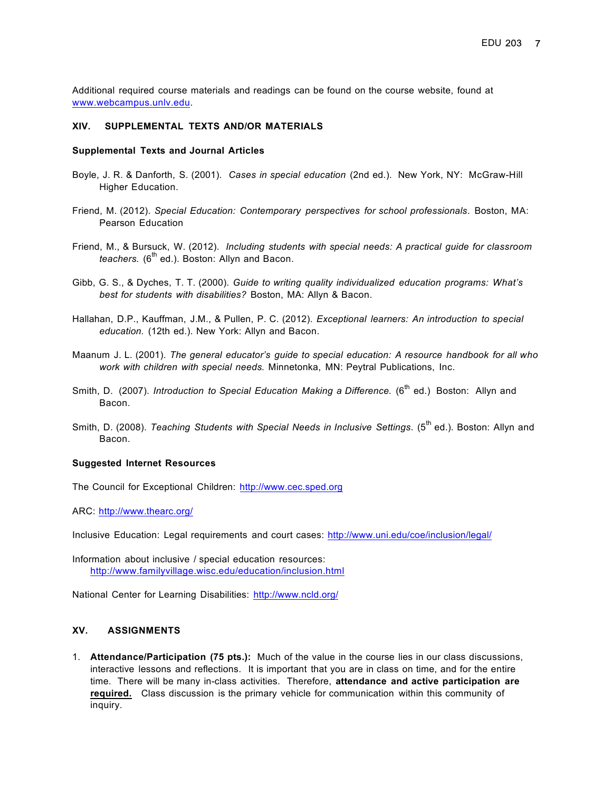Additional required course materials and readings can be found on the course website, found at www.webcampus.unlv.edu.

#### **XIV. SUPPLEMENTAL TEXTS AND/OR MATERIALS**

#### **Supplemental Texts and Journal Articles**

- Boyle, J. R. & Danforth, S. (2001). *Cases in special education* (2nd ed.). New York, NY: McGraw-Hill Higher Education.
- Friend, M. (2012). *Special Education: Contemporary perspectives for school professionals*. Boston, MA: Pearson Education
- Friend, M., & Bursuck, W. (2012). *Including students with special needs: A practical guide for classroom teachers.* (6<sup>th</sup> ed.). Boston: Allyn and Bacon.
- Gibb, G. S., & Dyches, T. T. (2000). *Guide to writing quality individualized education programs: What's best for students with disabilities?* Boston, MA: Allyn & Bacon.
- Hallahan, D.P., Kauffman, J.M., & Pullen, P. C. (2012). *Exceptional learners: An introduction to special education.* (12th ed.). New York: Allyn and Bacon.
- Maanum J. L. (2001). *The general educator's guide to special education: A resource handbook for all who work with children with special needs.* Minnetonka, MN: Peytral Publications, Inc.
- Smith, D. (2007). *Introduction to Special Education Making a Difference.* (6<sup>th</sup> ed.) Boston: Allyn and Bacon.
- Smith, D. (2008). *Teaching Students with Special Needs in Inclusive Settings*. (5th ed.). Boston: Allyn and Bacon.

#### **Suggested Internet Resources**

The Council for Exceptional Children: http://www.cec.sped.org

ARC: http://www.thearc.org/

Inclusive Education: Legal requirements and court cases: http://www.uni.edu/coe/inclusion/legal/

Information about inclusive / special education resources: http://www.familyvillage.wisc.edu/education/inclusion.html

National Center for Learning Disabilities: http://www.ncld.org/

#### **XV. ASSIGNMENTS**

1. **Attendance/Participation (75 pts.):** Much of the value in the course lies in our class discussions, interactive lessons and reflections. It is important that you are in class on time, and for the entire time. There will be many in-class activities. Therefore, **attendance and active participation are required.** Class discussion is the primary vehicle for communication within this community of inquiry.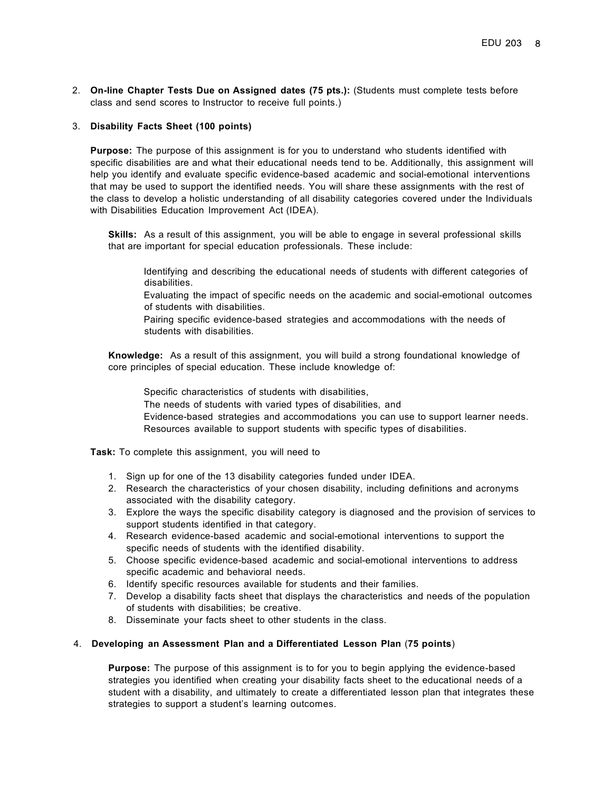2. **On-line Chapter Tests Due on Assigned dates (75 pts.):** (Students must complete tests before class and send scores to Instructor to receive full points.)

#### 3. **Disability Facts Sheet (100 points)**

**Purpose:** The purpose of this assignment is for you to understand who students identified with specific disabilities are and what their educational needs tend to be. Additionally, this assignment will help you identify and evaluate specific evidence-based academic and social-emotional interventions that may be used to support the identified needs. You will share these assignments with the rest of the class to develop a holistic understanding of all disability categories covered under the Individuals with Disabilities Education Improvement Act (IDEA).

**Skills:** As a result of this assignment, you will be able to engage in several professional skills that are important for special education professionals. These include:

 Identifying and describing the educational needs of students with different categories of disabilities.

 Evaluating the impact of specific needs on the academic and social-emotional outcomes of students with disabilities.

 Pairing specific evidence-based strategies and accommodations with the needs of students with disabilities.

**Knowledge:** As a result of this assignment, you will build a strong foundational knowledge of core principles of special education. These include knowledge of:

Specific characteristics of students with disabilities,

The needs of students with varied types of disabilities, and

 Evidence-based strategies and accommodations you can use to support learner needs. Resources available to support students with specific types of disabilities.

**Task:** To complete this assignment, you will need to

- 1. Sign up for one of the 13 disability categories funded under IDEA.
- 2. Research the characteristics of your chosen disability, including definitions and acronyms associated with the disability category.
- 3. Explore the ways the specific disability category is diagnosed and the provision of services to support students identified in that category.
- 4. Research evidence-based academic and social-emotional interventions to support the specific needs of students with the identified disability.
- 5. Choose specific evidence-based academic and social-emotional interventions to address specific academic and behavioral needs.
- 6. Identify specific resources available for students and their families.
- 7. Develop a disability facts sheet that displays the characteristics and needs of the population of students with disabilities; be creative.
- 8. Disseminate your facts sheet to other students in the class.

#### 4. **Developing an Assessment Plan and a Differentiated Lesson Plan** (**75 points**)

**Purpose:** The purpose of this assignment is to for you to begin applying the evidence-based strategies you identified when creating your disability facts sheet to the educational needs of a student with a disability, and ultimately to create a differentiated lesson plan that integrates these strategies to support a student's learning outcomes.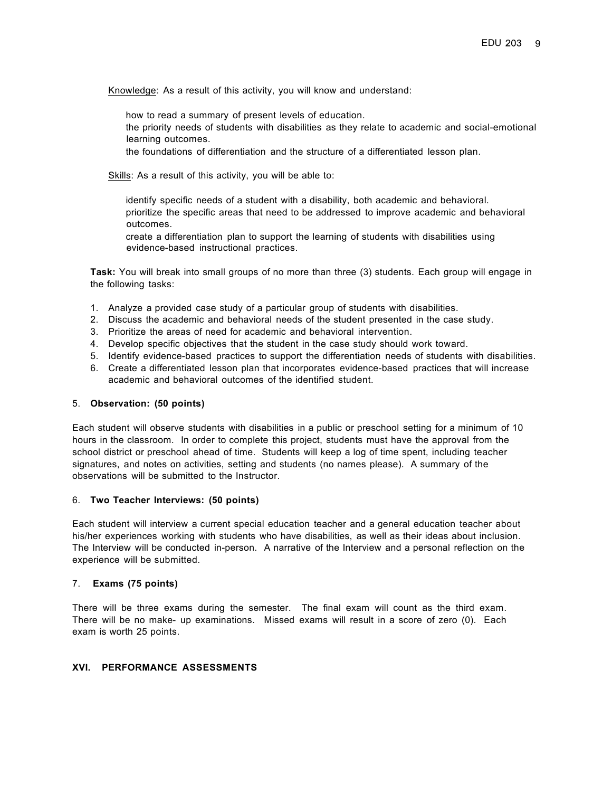Knowledge: As a result of this activity, you will know and understand:

how to read a summary of present levels of education.

 the priority needs of students with disabilities as they relate to academic and social-emotional learning outcomes.

the foundations of differentiation and the structure of a differentiated lesson plan.

Skills: As a result of this activity, you will be able to:

 identify specific needs of a student with a disability, both academic and behavioral. prioritize the specific areas that need to be addressed to improve academic and behavioral outcomes.

 create a differentiation plan to support the learning of students with disabilities using evidence-based instructional practices.

**Task:** You will break into small groups of no more than three (3) students. Each group will engage in the following tasks:

- 1. Analyze a provided case study of a particular group of students with disabilities.
- 2. Discuss the academic and behavioral needs of the student presented in the case study.
- 3. Prioritize the areas of need for academic and behavioral intervention.
- 4. Develop specific objectives that the student in the case study should work toward.
- 5. Identify evidence-based practices to support the differentiation needs of students with disabilities.
- 6. Create a differentiated lesson plan that incorporates evidence-based practices that will increase academic and behavioral outcomes of the identified student.

#### 5. **Observation: (50 points)**

Each student will observe students with disabilities in a public or preschool setting for a minimum of 10 hours in the classroom. In order to complete this project, students must have the approval from the school district or preschool ahead of time. Students will keep a log of time spent, including teacher signatures, and notes on activities, setting and students (no names please). A summary of the observations will be submitted to the Instructor.

#### 6. **Two Teacher Interviews: (50 points)**

Each student will interview a current special education teacher and a general education teacher about his/her experiences working with students who have disabilities, as well as their ideas about inclusion. The Interview will be conducted in-person. A narrative of the Interview and a personal reflection on the experience will be submitted.

#### 7. **Exams (75 points)**

There will be three exams during the semester. The final exam will count as the third exam. There will be no make- up examinations. Missed exams will result in a score of zero (0). Each exam is worth 25 points.

#### **XVI. PERFORMANCE ASSESSMENTS**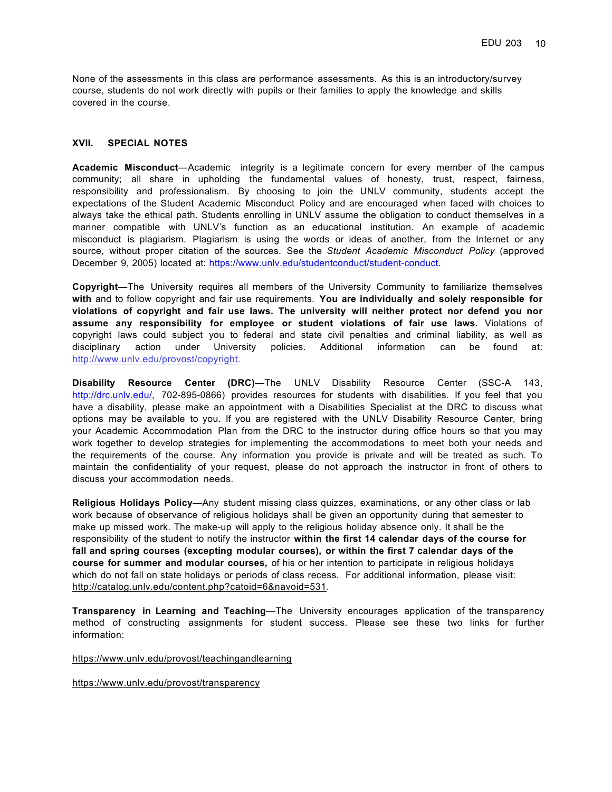None of the assessments in this class are performance assessments. As this is an introductory/survey course, students do not work directly with pupils or their families to apply the knowledge and skills covered in the course.

#### **XVII. SPECIAL NOTES**

**Academic Misconduct**—Academic integrity is a legitimate concern for every member of the campus community; all share in upholding the fundamental values of honesty, trust, respect, fairness, responsibility and professionalism. By choosing to join the UNLV community, students accept the expectations of the Student Academic Misconduct Policy and are encouraged when faced with choices to always take the ethical path. Students enrolling in UNLV assume the obligation to conduct themselves in a manner compatible with UNLV's function as an educational institution. An example of academic misconduct is plagiarism. Plagiarism is using the words or ideas of another, from the Internet or any source, without proper citation of the sources. See the *Student Academic Misconduct Policy* (approved December 9, 2005) located at: https://www.unlv.edu/studentconduct/student-conduct.

**Copyright**—The University requires all members of the University Community to familiarize themselves **with** and to follow copyright and fair use requirements. **You are individually and solely responsible for violations of copyright and fair use laws. The university will neither protect nor defend you nor assume any responsibility for employee or student violations of fair use laws.** Violations of copyright laws could subject you to federal and state civil penalties and criminal liability, as well as disciplinary action under University policies. Additional information can be found at: http://www.unlv.edu/provost/copyright.

**Disability Resource Center (DRC)**—The UNLV Disability Resource Center (SSC-A 143, http://drc.unlv.edu/, 702-895-0866) provides resources for students with disabilities. If you feel that you have a disability, please make an appointment with a Disabilities Specialist at the DRC to discuss what options may be available to you. If you are registered with the UNLV Disability Resource Center, bring your Academic Accommodation Plan from the DRC to the instructor during office hours so that you may work together to develop strategies for implementing the accommodations to meet both your needs and the requirements of the course. Any information you provide is private and will be treated as such. To maintain the confidentiality of your request, please do not approach the instructor in front of others to discuss your accommodation needs.

**Religious Holidays Policy**—Any student missing class quizzes, examinations, or any other class or lab work because of observance of religious holidays shall be given an opportunity during that semester to make up missed work. The make-up will apply to the religious holiday absence only. It shall be the responsibility of the student to notify the instructor **within the first 14 calendar days of the course for fall and spring courses (excepting modular courses), or within the first 7 calendar days of the course for summer and modular courses,** of his or her intention to participate in religious holidays which do not fall on state holidays or periods of class recess. For additional information, please visit: http://catalog.unlv.edu/content.php?catoid=6&navoid=531.

**Transparency in Learning and Teaching**—The University encourages application of the transparency method of constructing assignments for student success. Please see these two links for further information:

https://www.unlv.edu/provost/teachingandlearning

https://www.unlv.edu/provost/transparency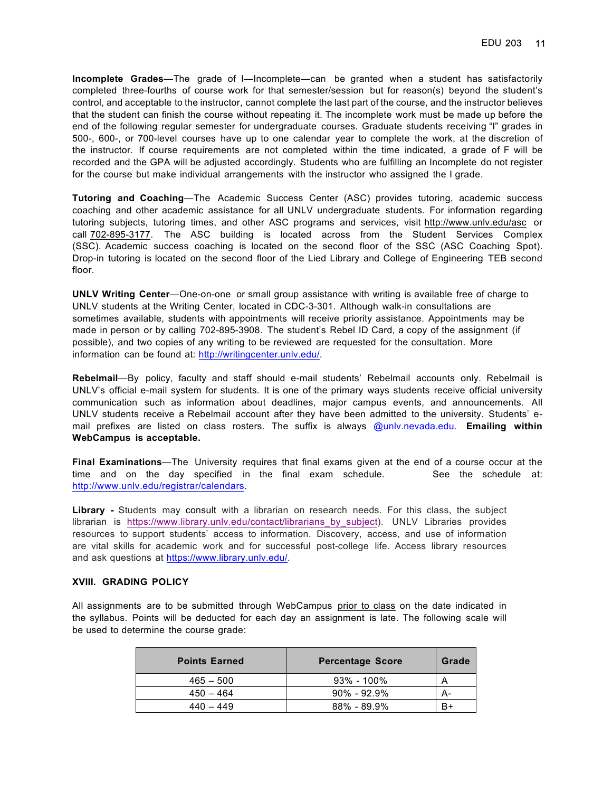**Incomplete Grades**—The grade of I—Incomplete—can be granted when a student has satisfactorily completed three-fourths of course work for that semester/session but for reason(s) beyond the student's control, and acceptable to the instructor, cannot complete the last part of the course, and the instructor believes that the student can finish the course without repeating it. The incomplete work must be made up before the end of the following regular semester for undergraduate courses. Graduate students receiving "I" grades in 500-, 600-, or 700-level courses have up to one calendar year to complete the work, at the discretion of the instructor. If course requirements are not completed within the time indicated, a grade of F will be recorded and the GPA will be adjusted accordingly. Students who are fulfilling an Incomplete do not register for the course but make individual arrangements with the instructor who assigned the I grade.

**Tutoring and Coaching**—The Academic Success Center (ASC) provides tutoring, academic success coaching and other academic assistance for all UNLV undergraduate students. For information regarding tutoring subjects, tutoring times, and other ASC programs and services, visit http://www.unlv.edu/asc or call 702-895-3177. The ASC building is located across from the Student Services Complex (SSC). Academic success coaching is located on the second floor of the SSC (ASC Coaching Spot). Drop-in tutoring is located on the second floor of the Lied Library and College of Engineering TEB second floor.

**UNLV Writing Center**—One-on-one or small group assistance with writing is available free of charge to UNLV students at the Writing Center, located in CDC-3-301. Although walk-in consultations are sometimes available, students with appointments will receive priority assistance. Appointments may be made in person or by calling 702-895-3908. The student's Rebel ID Card, a copy of the assignment (if possible), and two copies of any writing to be reviewed are requested for the consultation. More information can be found at: http://writingcenter.unlv.edu/.

**Rebelmail**—By policy, faculty and staff should e-mail students' Rebelmail accounts only. Rebelmail is UNLV's official e-mail system for students. It is one of the primary ways students receive official university communication such as information about deadlines, major campus events, and announcements. All UNLV students receive a Rebelmail account after they have been admitted to the university. Students' email prefixes are listed on class rosters. The suffix is always @unlv.nevada.edu. **Emailing within WebCampus is acceptable.**

**Final Examinations**—The University requires that final exams given at the end of a course occur at the time and on the day specified in the final exam schedule. See the schedule at: http://www.unlv.edu/registrar/calendars.

**Library -** Students may consult with a librarian on research needs. For this class, the subject librarian is https://www.library.unlv.edu/contact/librarians\_by\_subject). UNLV Libraries provides resources to support students' access to information. Discovery, access, and use of information are vital skills for academic work and for successful post-college life. Access library resources and ask questions at https://www.library.unlv.edu/.

#### **XVIII. GRADING POLICY**

All assignments are to be submitted through WebCampus prior to class on the date indicated in the syllabus. Points will be deducted for each day an assignment is late. The following scale will be used to determine the course grade:

| <b>Points Earned</b> | <b>Percentage Score</b> | Grade |
|----------------------|-------------------------|-------|
| $465 - 500$          | $93\% - 100\%$          |       |
| $450 - 464$          | $90\% - 92.9\%$         | А-    |
| $440 - 449$          | $88\% - 89.9\%$         |       |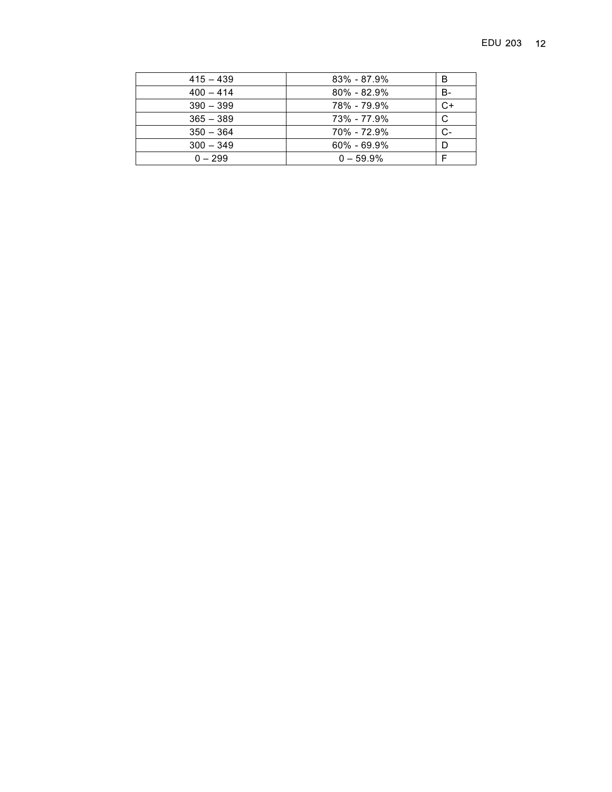| $415 - 439$ | $83\% - 87.9\%$ | в  |
|-------------|-----------------|----|
| $400 - 414$ | $80\% - 82.9\%$ | В- |
| $390 - 399$ | 78% - 79.9%     | C+ |
| $365 - 389$ | 73% - 77.9%     | С  |
| $350 - 364$ | 70% - 72.9%     | C- |
| $300 - 349$ | $60\% - 69.9\%$ |    |
| $0 - 299$   | $0 - 59.9\%$    |    |
|             |                 |    |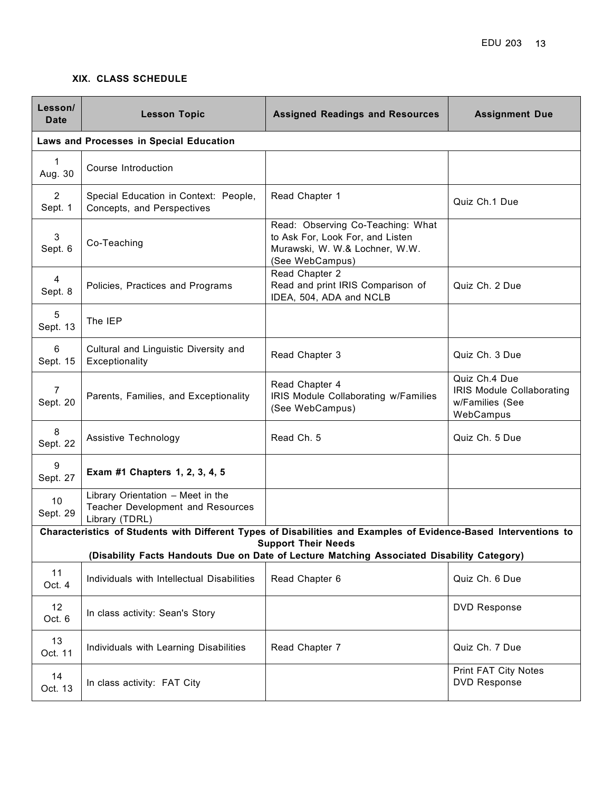### **XIX. CLASS SCHEDULE**

| Lesson/<br><b>Date</b>                                                                                                                         | <b>Lesson Topic</b>                                                                      | <b>Assigned Readings and Resources</b>                                                                                     | <b>Assignment Due</b>                                                             |  |  |
|------------------------------------------------------------------------------------------------------------------------------------------------|------------------------------------------------------------------------------------------|----------------------------------------------------------------------------------------------------------------------------|-----------------------------------------------------------------------------------|--|--|
|                                                                                                                                                | Laws and Processes in Special Education                                                  |                                                                                                                            |                                                                                   |  |  |
| $\mathbf 1$<br>Aug. 30                                                                                                                         | Course Introduction                                                                      |                                                                                                                            |                                                                                   |  |  |
| $\overline{2}$<br>Sept. 1                                                                                                                      | Special Education in Context: People,<br>Concepts, and Perspectives                      | Read Chapter 1                                                                                                             | Quiz Ch.1 Due                                                                     |  |  |
| 3<br>Sept. 6                                                                                                                                   | Co-Teaching                                                                              | Read: Observing Co-Teaching: What<br>to Ask For, Look For, and Listen<br>Murawski, W. W.& Lochner, W.W.<br>(See WebCampus) |                                                                                   |  |  |
| 4<br>Sept. 8                                                                                                                                   | Policies, Practices and Programs                                                         | Read Chapter 2<br>Read and print IRIS Comparison of<br>IDEA, 504, ADA and NCLB                                             | Quiz Ch. 2 Due                                                                    |  |  |
| 5<br>Sept. 13                                                                                                                                  | The IEP                                                                                  |                                                                                                                            |                                                                                   |  |  |
| 6<br>Sept. 15                                                                                                                                  | Cultural and Linguistic Diversity and<br>Exceptionality                                  | Read Chapter 3                                                                                                             | Quiz Ch. 3 Due                                                                    |  |  |
| $\overline{7}$<br>Sept. 20                                                                                                                     | Parents, Families, and Exceptionality                                                    | Read Chapter 4<br>IRIS Module Collaborating w/Families<br>(See WebCampus)                                                  | Quiz Ch.4 Due<br><b>IRIS Module Collaborating</b><br>w/Families (See<br>WebCampus |  |  |
| 8<br>Sept. 22                                                                                                                                  | Assistive Technology                                                                     | Read Ch. 5                                                                                                                 | Quiz Ch. 5 Due                                                                    |  |  |
| 9<br>Sept. 27                                                                                                                                  | Exam #1 Chapters 1, 2, 3, 4, 5                                                           |                                                                                                                            |                                                                                   |  |  |
| 10<br>Sept. 29                                                                                                                                 | Library Orientation - Meet in the<br>Teacher Development and Resources<br>Library (TDRL) |                                                                                                                            |                                                                                   |  |  |
| Characteristics of Students with Different Types of Disabilities and Examples of Evidence-Based Interventions to<br><b>Support Their Needs</b> |                                                                                          |                                                                                                                            |                                                                                   |  |  |
| (Disability Facts Handouts Due on Date of Lecture Matching Associated Disability Category)                                                     |                                                                                          |                                                                                                                            |                                                                                   |  |  |
| 11<br>Oct. 4                                                                                                                                   | Individuals with Intellectual Disabilities                                               | Read Chapter 6                                                                                                             | Quiz Ch. 6 Due                                                                    |  |  |
| 12 <sup>°</sup><br>Oct. 6                                                                                                                      | In class activity: Sean's Story                                                          |                                                                                                                            | <b>DVD Response</b>                                                               |  |  |
| 13<br>Oct. 11                                                                                                                                  | Individuals with Learning Disabilities                                                   | Read Chapter 7                                                                                                             | Quiz Ch. 7 Due                                                                    |  |  |
| 14<br>Oct. 13                                                                                                                                  | In class activity: FAT City                                                              |                                                                                                                            | Print FAT City Notes<br><b>DVD Response</b>                                       |  |  |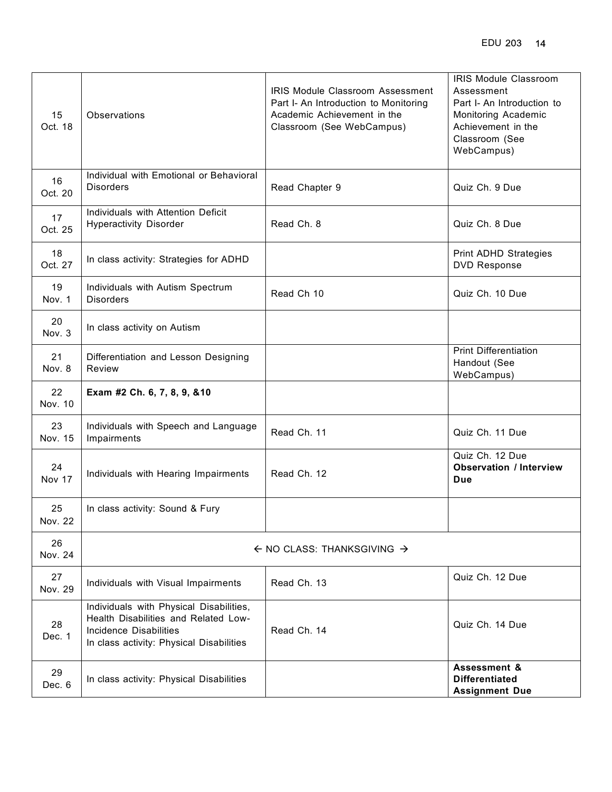| 15<br>Oct. 18 | Observations                                                                                                                                                 | <b>IRIS Module Classroom Assessment</b><br>Part I- An Introduction to Monitoring<br>Academic Achievement in the<br>Classroom (See WebCampus) | IRIS Module Classroom<br>Assessment<br>Part I- An Introduction to<br>Monitoring Academic<br>Achievement in the<br>Classroom (See<br>WebCampus) |
|---------------|--------------------------------------------------------------------------------------------------------------------------------------------------------------|----------------------------------------------------------------------------------------------------------------------------------------------|------------------------------------------------------------------------------------------------------------------------------------------------|
| 16<br>Oct. 20 | Individual with Emotional or Behavioral<br><b>Disorders</b>                                                                                                  | Read Chapter 9                                                                                                                               | Quiz Ch. 9 Due                                                                                                                                 |
| 17<br>Oct. 25 | Individuals with Attention Deficit<br><b>Hyperactivity Disorder</b>                                                                                          | Read Ch. 8                                                                                                                                   | Quiz Ch. 8 Due                                                                                                                                 |
| 18<br>Oct. 27 | In class activity: Strategies for ADHD                                                                                                                       |                                                                                                                                              | <b>Print ADHD Strategies</b><br><b>DVD Response</b>                                                                                            |
| 19<br>Nov. 1  | Individuals with Autism Spectrum<br><b>Disorders</b>                                                                                                         | Read Ch 10                                                                                                                                   | Quiz Ch. 10 Due                                                                                                                                |
| 20<br>Nov. 3  | In class activity on Autism                                                                                                                                  |                                                                                                                                              |                                                                                                                                                |
| 21<br>Nov. 8  | Differentiation and Lesson Designing<br>Review                                                                                                               |                                                                                                                                              | <b>Print Differentiation</b><br>Handout (See<br>WebCampus)                                                                                     |
| 22<br>Nov. 10 | Exam #2 Ch. 6, 7, 8, 9, &10                                                                                                                                  |                                                                                                                                              |                                                                                                                                                |
| 23<br>Nov. 15 | Individuals with Speech and Language<br>Impairments                                                                                                          | Read Ch. 11                                                                                                                                  | Quiz Ch. 11 Due                                                                                                                                |
| 24<br>Nov 17  | Individuals with Hearing Impairments                                                                                                                         | Read Ch. 12                                                                                                                                  | Quiz Ch. 12 Due<br><b>Observation / Interview</b><br><b>Due</b>                                                                                |
| 25<br>Nov. 22 | In class activity: Sound & Fury                                                                                                                              |                                                                                                                                              |                                                                                                                                                |
| 26<br>Nov. 24 | $\leftarrow$ NO CLASS: THANKSGIVING $\rightarrow$                                                                                                            |                                                                                                                                              |                                                                                                                                                |
| 27<br>Nov. 29 | Individuals with Visual Impairments                                                                                                                          | Read Ch. 13                                                                                                                                  | Quiz Ch. 12 Due                                                                                                                                |
| 28<br>Dec. 1  | Individuals with Physical Disabilities,<br>Health Disabilities and Related Low-<br><b>Incidence Disabilities</b><br>In class activity: Physical Disabilities | Read Ch. 14                                                                                                                                  | Quiz Ch. 14 Due                                                                                                                                |
| 29<br>Dec. 6  | In class activity: Physical Disabilities                                                                                                                     |                                                                                                                                              | Assessment &<br><b>Differentiated</b><br><b>Assignment Due</b>                                                                                 |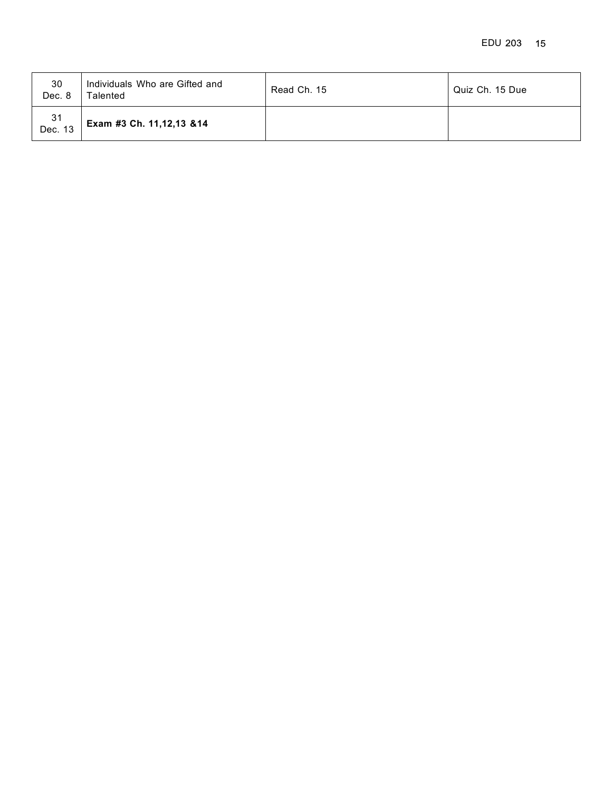| 30<br>Dec. 8  | Individuals Who are Gifted and<br>Talented | Read Ch. 15 | Quiz Ch. 15 Due |
|---------------|--------------------------------------------|-------------|-----------------|
| 31<br>Dec. 13 | Exam #3 Ch. 11,12,13 & 14                  |             |                 |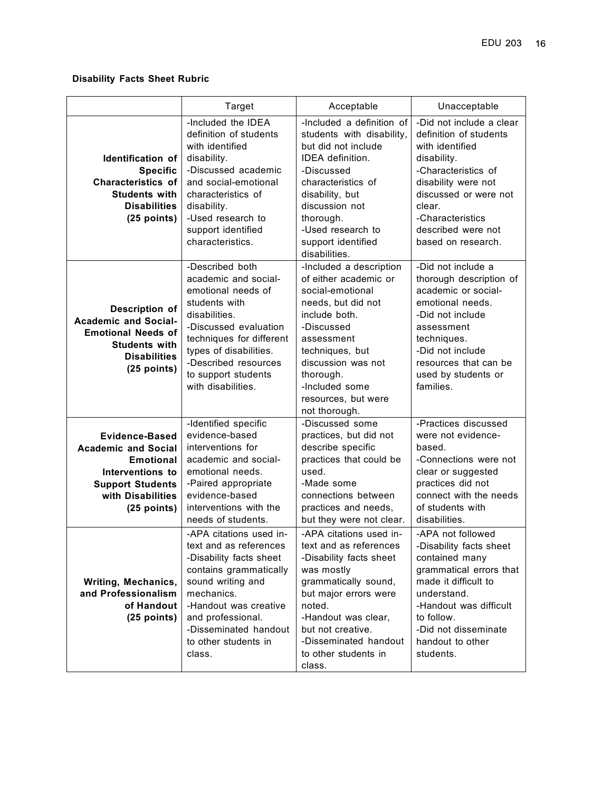## **Disability Facts Sheet Rubric**

|                                                                                                                                                              | Target                                                                                                                                                                                                                                              | Acceptable                                                                                                                                                                                                                                                   | Unacceptable                                                                                                                                                                                                                          |
|--------------------------------------------------------------------------------------------------------------------------------------------------------------|-----------------------------------------------------------------------------------------------------------------------------------------------------------------------------------------------------------------------------------------------------|--------------------------------------------------------------------------------------------------------------------------------------------------------------------------------------------------------------------------------------------------------------|---------------------------------------------------------------------------------------------------------------------------------------------------------------------------------------------------------------------------------------|
| Identification of<br><b>Specific</b><br><b>Characteristics of</b><br><b>Students with</b><br><b>Disabilities</b><br>$(25$ points)                            | -Included the IDEA<br>definition of students<br>with identified<br>disability.<br>-Discussed academic<br>and social-emotional<br>characteristics of<br>disability.<br>-Used research to<br>support identified<br>characteristics.                   | -Included a definition of<br>students with disability,<br>but did not include<br>IDEA definition.<br>-Discussed<br>characteristics of<br>disability, but<br>discussion not<br>thorough.<br>-Used research to<br>support identified<br>disabilities.          | -Did not include a clear<br>definition of students<br>with identified<br>disability.<br>-Characteristics of<br>disability were not<br>discussed or were not<br>clear.<br>-Characteristics<br>described were not<br>based on research. |
| Description of<br><b>Academic and Social-</b><br><b>Emotional Needs of</b><br><b>Students with</b><br><b>Disabilities</b><br>$(25$ points)                   | -Described both<br>academic and social-<br>emotional needs of<br>students with<br>disabilities.<br>-Discussed evaluation<br>techniques for different<br>types of disabilities.<br>-Described resources<br>to support students<br>with disabilities. | -Included a description<br>of either academic or<br>social-emotional<br>needs, but did not<br>include both.<br>-Discussed<br>assessment<br>techniques, but<br>discussion was not<br>thorough.<br>-Included some<br>resources, but were<br>not thorough.      | -Did not include a<br>thorough description of<br>academic or social-<br>emotional needs.<br>-Did not include<br>assessment<br>techniques.<br>-Did not include<br>resources that can be<br>used by students or<br>families.            |
| <b>Evidence-Based</b><br><b>Academic and Social</b><br><b>Emotional</b><br>Interventions to<br><b>Support Students</b><br>with Disabilities<br>$(25$ points) | -Identified specific<br>evidence-based<br>interventions for<br>academic and social-<br>emotional needs.<br>-Paired appropriate<br>evidence-based<br>interventions with the<br>needs of students.                                                    | -Discussed some<br>practices, but did not<br>describe specific<br>practices that could be<br>used.<br>-Made some<br>connections between<br>practices and needs,<br>but they were not clear.                                                                  | -Practices discussed<br>were not evidence-<br>based.<br>-Connections were not<br>clear or suggested<br>practices did not<br>connect with the needs<br>of students with<br>disabilities.                                               |
| Writing, Mechanics,<br>and Professionalism<br>of Handout<br>$(25$ points)                                                                                    | -APA citations used in-<br>text and as references<br>-Disability facts sheet<br>contains grammatically<br>sound writing and<br>mechanics.<br>-Handout was creative<br>and professional.<br>-Disseminated handout<br>to other students in<br>class.  | -APA citations used in-<br>text and as references<br>-Disability facts sheet<br>was mostly<br>grammatically sound,<br>but major errors were<br>noted.<br>-Handout was clear,<br>but not creative.<br>-Disseminated handout<br>to other students in<br>class. | -APA not followed<br>-Disability facts sheet<br>contained many<br>grammatical errors that<br>made it difficult to<br>understand.<br>-Handout was difficult<br>to follow.<br>-Did not disseminate<br>handout to other<br>students.     |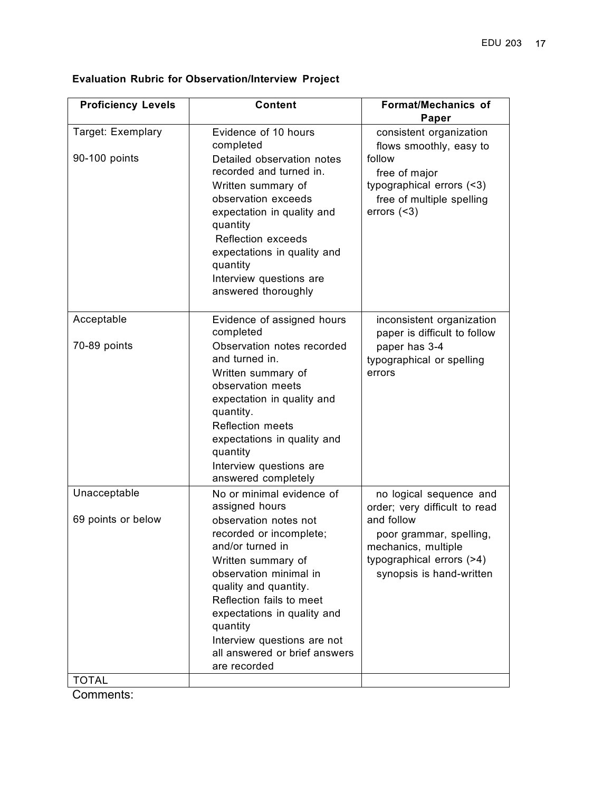| <b>Proficiency Levels</b>                          | <b>Content</b>                                                                                                                                                                                                                                                                                                                                      | <b>Format/Mechanics of</b><br>Paper                                                                                                                                               |
|----------------------------------------------------|-----------------------------------------------------------------------------------------------------------------------------------------------------------------------------------------------------------------------------------------------------------------------------------------------------------------------------------------------------|-----------------------------------------------------------------------------------------------------------------------------------------------------------------------------------|
| Target: Exemplary<br>90-100 points                 | Evidence of 10 hours<br>completed<br>Detailed observation notes<br>recorded and turned in.<br>Written summary of<br>observation exceeds<br>expectation in quality and<br>quantity<br>Reflection exceeds<br>expectations in quality and<br>quantity<br>Interview questions are<br>answered thoroughly                                                | consistent organization<br>flows smoothly, easy to<br>follow<br>free of major<br>typographical errors (<3)<br>free of multiple spelling<br>errors $($                             |
| Acceptable<br>70-89 points                         | Evidence of assigned hours<br>completed<br>Observation notes recorded<br>and turned in.<br>Written summary of<br>observation meets<br>expectation in quality and<br>quantity.<br><b>Reflection meets</b><br>expectations in quality and<br>quantity<br>Interview questions are<br>answered completely                                               | inconsistent organization<br>paper is difficult to follow<br>paper has 3-4<br>typographical or spelling<br>errors                                                                 |
| Unacceptable<br>69 points or below<br><b>TOTAL</b> | No or minimal evidence of<br>assigned hours<br>observation notes not<br>recorded or incomplete;<br>and/or turned in<br>Written summary of<br>observation minimal in<br>quality and quantity.<br>Reflection fails to meet<br>expectations in quality and<br>quantity<br>Interview questions are not<br>all answered or brief answers<br>are recorded | no logical sequence and<br>order; very difficult to read<br>and follow<br>poor grammar, spelling,<br>mechanics, multiple<br>typographical errors (>4)<br>synopsis is hand-written |

# **Evaluation Rubric for Observation/Interview Project**

Comments: